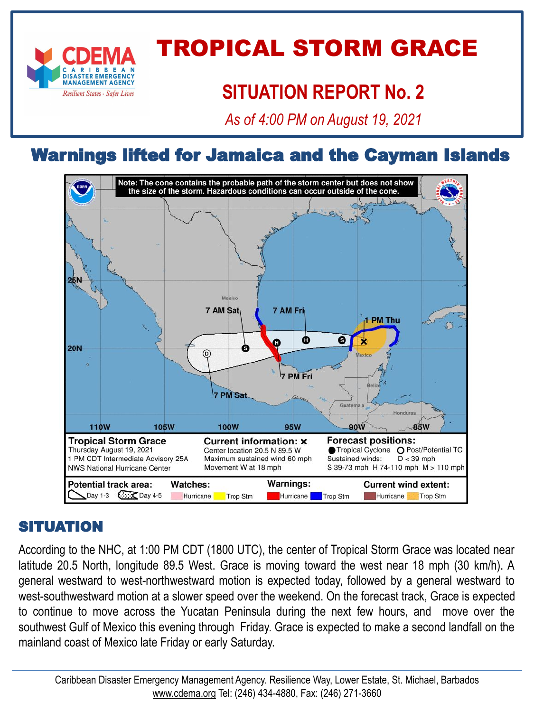

# TROPICAL STORM GRACE

# **SITUATION REPORT No. 2**

*As of 4:00 PM on August 19, 2021*

# Warnings lifted for Jamaica and the Cayman Islands



#### SITUATION

According to the NHC, at 1:00 PM CDT (1800 UTC), the center of Tropical Storm Grace was located near latitude 20.5 North, longitude 89.5 West. Grace is moving toward the west near 18 mph (30 km/h). A general westward to west-northwestward motion is expected today, followed by a general westward to west-southwestward motion at a slower speed over the weekend. On the forecast track, Grace is expected to continue to move across the Yucatan Peninsula during the next few hours, and move over the southwest Gulf of Mexico this evening through Friday. Grace is expected to make a second landfall on the mainland coast of Mexico late Friday or early Saturday.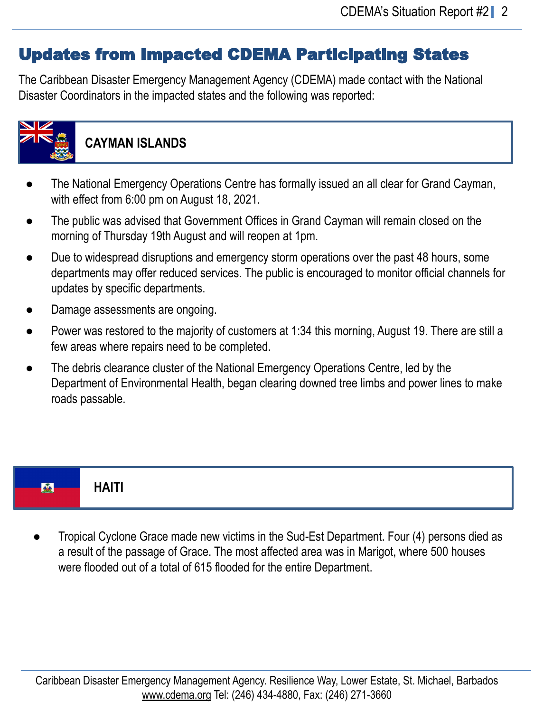# Updates from Impacted CDEMA Participating States

The Caribbean Disaster Emergency Management Agency (CDEMA) made contact with the National Disaster Coordinators in the impacted states and the following was reported:



### **CAYMAN ISLANDS**

- The National Emergency Operations Centre has formally issued an all clear for Grand Cayman, with effect from 6:00 pm on August 18, 2021.
- The public was advised that Government Offices in Grand Cayman will remain closed on the morning of Thursday 19th August and will reopen at 1pm.
- Due to widespread disruptions and emergency storm operations over the past 48 hours, some departments may offer reduced services. The public is encouraged to monitor official channels for updates by specific departments.
- Damage assessments are ongoing.
- Power was restored to the majority of customers at 1:34 this morning, August 19. There are still a few areas where repairs need to be completed.
- The debris clearance cluster of the National Emergency Operations Centre, led by the Department of Environmental Health, began clearing downed tree limbs and power lines to make roads passable.

|--|

Tropical Cyclone Grace made new victims in the Sud-Est Department. Four (4) persons died as a result of the passage of Grace. The most affected area was in Marigot, where 500 houses were flooded out of a total of 615 flooded for the entire Department.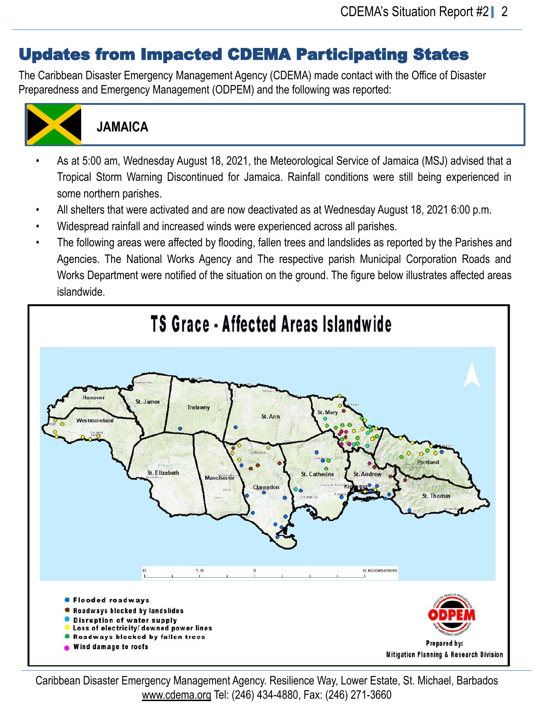## Updates from Impacted CDEMA Participating States

The Caribbean Disaster Emergency Management Agency (CDEMA) made contact with the Office of Disaster Preparedness and Emergency Management (ODPEM) and the following was reported:



#### **JAMAICA**

- As at 5:00 am, Wednesday August 18, 2021, the Meteorological Service of Jamaica (MSJ) advised that a Tropical Storm Warning Discontinued for Jamaica. Rainfall conditions were still being experienced in some northern parishes.
- All shelters that were activated and are now deactivated as at Wednesday August 18, 2021 6:00 p.m.
- Widespread rainfall and increased winds were experienced across all parishes.
- The following areas were affected by flooding, fallen trees and landslides as reported by the Parishes and Agencies. The National Works Agency and The respective parish Municipal Corporation Roads and Works Department were notified of the situation on the ground. The figure below illustrates affected areas islandwide.



Caribbean Disaster Emergency Management Agency. Resilience Way, Lower Estate, St. Michael, Barbados [www.cdema.org](http://www.cdema.org/) Tel: (246) 434-4880, Fax: (246) 271-3660